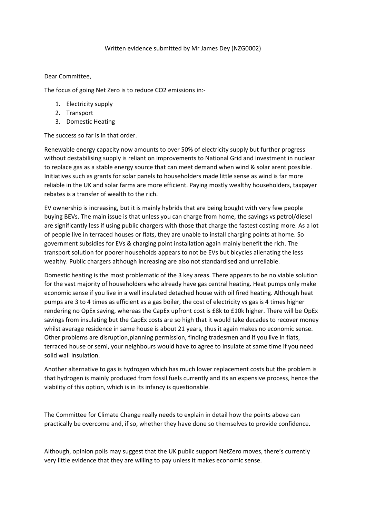## Written evidence submitted by Mr James Dey (NZG0002)

## Dear Committee,

The focus of going Net Zero is to reduce CO2 emissions in:-

- 1. Electricity supply
- 2. Transport
- 3. Domestic Heating

The success so far is in that order.

Renewable energy capacity now amounts to over 50% of electricity supply but further progress without destabilising supply is reliant on improvements to National Grid and investment in nuclear to replace gas as a stable energy source that can meet demand when wind & solar arent possible. Initiatives such as grants for solar panels to householders made little sense as wind is far more reliable in the UK and solar farms are more efficient. Paying mostly wealthy householders, taxpayer rebates is a transfer of wealth to the rich.

EV ownership is increasing, but it is mainly hybrids that are being bought with very few people buying BEVs. The main issue is that unless you can charge from home, the savings vs petrol/diesel are significantly less if using public chargers with those that charge the fastest costing more. As a lot of people live in terraced houses or flats, they are unable to install charging points at home. So government subsidies for EVs & charging point installation again mainly benefit the rich. The transport solution for poorer households appears to not be EVs but bicycles alienating the less wealthy. Public chargers although increasing are also not standardised and unreliable.

Domestic heating is the most problematic of the 3 key areas. There appears to be no viable solution for the vast majority of householders who already have gas central heating. Heat pumps only make economic sense if you live in a well insulated detached house with oil fired heating. Although heat pumps are 3 to 4 times as efficient as a gas boiler, the cost of electricity vs gas is 4 times higher rendering no OpEx saving, whereas the CapEx upfront cost is £8k to £10k higher. There will be OpEx savings from insulating but the CapEx costs are so high that it would take decades to recover money whilst average residence in same house is about 21 years, thus it again makes no economic sense. Other problems are disruption,planning permission, finding tradesmen and if you live in flats, terraced house or semi, your neighbours would have to agree to insulate at same time if you need solid wall insulation.

Another alternative to gas is hydrogen which has much lower replacement costs but the problem is that hydrogen is mainly produced from fossil fuels currently and its an expensive process, hence the viability of this option, which is in its infancy is questionable.

The Committee for Climate Change really needs to explain in detail how the points above can practically be overcome and, if so, whether they have done so themselves to provide confidence.

Although, opinion polls may suggest that the UK public support NetZero moves, there's currently very little evidence that they are willing to pay unless it makes economic sense.